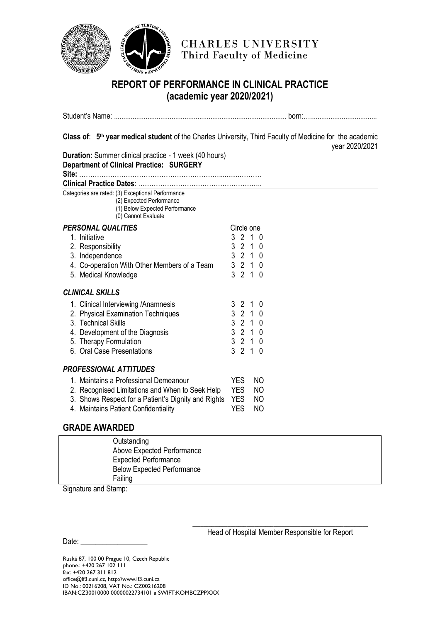

## **REPORT OF PERFORMANCE IN CLINICAL PRACTICE (academic year 2020/2021)**

| Class of: 5 <sup>th</sup> year medical student of the Charles University, Third Faculty of Medicine for the academic<br>Duration: Summer clinical practice - 1 week (40 hours)<br>Department of Clinical Practice: SURGERY | year 2020/2021                                                                                                                                                 |
|----------------------------------------------------------------------------------------------------------------------------------------------------------------------------------------------------------------------------|----------------------------------------------------------------------------------------------------------------------------------------------------------------|
|                                                                                                                                                                                                                            |                                                                                                                                                                |
| Categories are rated: (3) Exceptional Performance<br>(2) Expected Performance<br>(1) Below Expected Performance<br>(0) Cannot Evaluate                                                                                     |                                                                                                                                                                |
| <b>PERSONAL QUALITIES</b><br>1. Initiative<br>2. Responsibility<br>3. Independence<br>4. Co-operation With Other Members of a Team<br>5. Medical Knowledge                                                                 | Circle one<br>3 2 1 0<br>3 2 1 0<br>3<br>2 1 0<br>3210<br>3<br>210                                                                                             |
| <b>CLINICAL SKILLS</b>                                                                                                                                                                                                     |                                                                                                                                                                |
| 1. Clinical Interviewing / Anamnesis<br>2. Physical Examination Techniques<br>3. Technical Skills<br>4. Development of the Diagnosis<br>5. Therapy Formulation<br>6. Oral Case Presentations                               | 3 2 1 0<br>$3 \quad 2 \quad 1$<br>$\Omega$<br>$\mathfrak{Z}$<br>2 <sub>1</sub><br>0<br>3210<br>3<br>2 1 0<br>3<br>$\overline{2}$<br>$\overline{1}$<br>$\Omega$ |
| <b>PROFESSIONAL ATTITUDES</b>                                                                                                                                                                                              |                                                                                                                                                                |
| 1. Maintains a Professional Demeanour<br>2. Recognised Limitations and When to Seek Help<br>3. Shows Respect for a Patient's Dignity and Rights<br>4. Maintains Patient Confidentiality                                    | <b>YES</b><br>NO.<br><b>YES</b><br>NO.<br><b>YES</b><br>NO.<br><b>YES</b><br>NO.                                                                               |
| <b>GRADE AWARDED</b>                                                                                                                                                                                                       |                                                                                                                                                                |

## **Outstanding**  Above Expected Performance Expected Performance Below Expected Performance Failing

Signature and Stamp:

\_\_\_\_\_\_\_\_\_\_\_\_\_\_\_\_\_\_\_\_\_\_\_\_\_\_\_\_\_\_\_\_\_\_\_\_\_\_\_\_\_\_\_\_\_\_\_\_\_\_\_\_\_\_\_\_\_\_\_\_\_\_\_\_\_ Head of Hospital Member Responsible for Report

 $Date:$ 

Ruská 87, 100 00 Prague 10, Czech Republic phone.: +420 267 102 111 fax: +420 267 311 812 office@lf3.cuni.cz, http://www.lf3.cuni.cz ID No.: 00216208, VAT No.: CZ00216208 IBAN:CZ30010000 00000022734101 a SWIFT:KOMBCZPPXXX